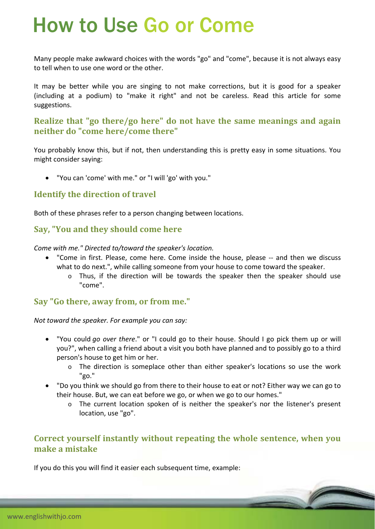# How to Use Go or Come

Many people make awkward choices with the words "go" and "come", because it is not always easy to tell when to use one word or the other.

It may be better while you are singing to not make corrections, but it is good for a speaker (including at a podium) to "make it right" and not be careless. Read this article for some suggestions.

#### **Realize that "go there/go here" do not have the same meanings and again neither do "come here/come there"**

You probably know this, but if not, then understanding this is pretty easy in some situations. You might consider saying:

"You can 'come' with me." or "I will 'go' with you."

#### **Identify the direction of travel**

Both of these phrases refer to a person changing between locations.

#### **Say, "You and they should come here**

*Come with me." Directed to/toward the speaker's location.*

- "Come in first. Please, come here. Come inside the house, please ‐‐ and then we discuss what to do next.", while calling someone from your house to come toward the speaker.
	- o Thus, if the direction will be towards the speaker then the speaker should use "come".

#### **Say "Go there, away from, or from me."**

*Not toward the speaker. For example you can say:*

- "You could *go over there*." or "I could go to their house. Should I go pick them up or will you?", when calling a friend about a visit you both have planned and to possibly go to a third person's house to get him or her.
	- o The direction is someplace other than either speaker's locations so use the work "go."
- "Do you think we should go from there to their house to eat or not? Either way we can go to their house. But, we can eat before we go, or when we go to our homes."
	- $\circ$  The current location spoken of is neither the speaker's nor the listener's present location, use "go".

#### **Correct yourself instantly without repeating the whole sentence, when you make a mistake**

If you do this you will find it easier each subsequent time, example: